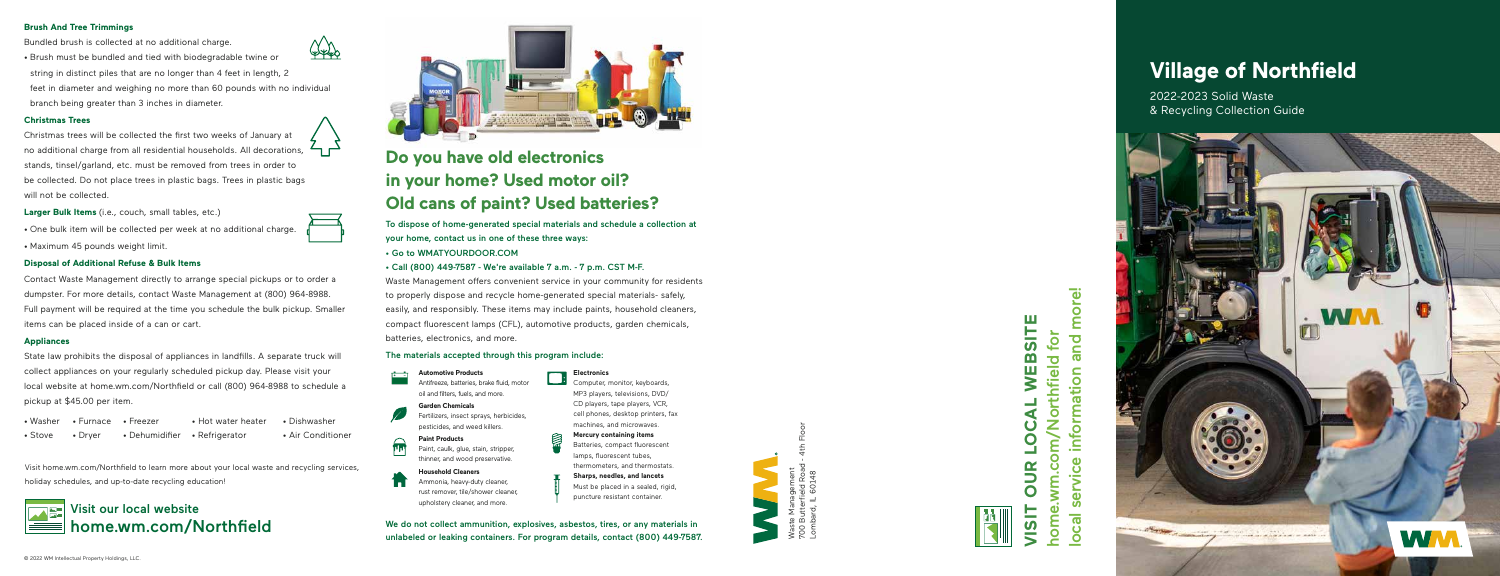

700 Butterfield Road - 4th Floor Lombard, IL 60148 മ i 8



## WEBSITE **VISIT OUR LOCAL WEBSITE** home.wm.com/Northfield for for wm.com/Northfield  $\overline{\blacktriangle}$  $\mathbf C$ 9 9D<br>D  $\overline{O}$  $\bullet$ F. home  $\overline{\mathbf{S}}$

more! local service information and more! and information **ivice**  $\bullet$ ഗ Cal  $\bullet$ 

## **Do you have old electronics in your home? Used motor oil? Old cans of paint? Used batteries?**

To dispose of home-generated special materials and schedule a collection at your home, contact us in one of these three ways:

- 
- Go to WMATYOURDOOR.COM Call (800) 449-7587 We're available 7 a.m. 7 p.m. CST M-F.

Waste Management offers convenient service in your community for residents to properly dispose and recycle home-generated special materials- safely, easily, and responsibly. These items may include paints, household cleaners, compact fluorescent lamps (CFL), automotive products, garden chemicals, batteries, electronics, and more.

#### The materials accepted through this program include:

We do not collect ammunition, explosives, asbestos, tires, or any materials in unlabeled or leaking containers. For program details, contact (800) 449-7587.

#### **Electronics**

1440 • Brush must be bundled and tied with biodegradable twine or string in distinct piles that are no longer than 4 feet in length, 2 feet in diameter and weighing no more than 60 pounds with no individual branch being greater than 3 inches in diameter.

> Computer, monitor, keyboards, MP3 players, televisions, DVD/ CD players, tape players, VCR, cell phones, desktop printers, fax machines, and microwaves. **Mercury containing items**



Batteries, compact fluorescent lamps, fluorescent tubes,

thermometers, and thermostats. **Sharps, needles, and lancets** Must be placed in a sealed, rigid,

puncture resistant container.

**Automotive Products**

Antifreeze, batteries, brake fluid, motor oil and filters, fuels, and more.

State law prohibits the disposal of appliances in landfills. A separate truck will collect appliances on your regularly scheduled pickup day. Please visit your local website at home.wm.com/Northfield or call (800) 964-8988 to schedule a pickup at \$45.00 per item.<br>• Washer • Furnace • Freezer

**Garden Chemicals**

Fertilizers, insect sprays, herbicides, pesticides, and weed killers.

**Paint Products**

Paint, caulk, glue, stain, stripper, thinner, and wood preservative.

- 
- Stove Pryer Dehumidifier
- Hot water heater

**Household Cleaners** Ammonia, heavy-duty cleaner, rust remover, tile/shower cleaner, upholstery cleaner, and more.

#### **Brush And Tree Trimmings**

Bundled brush is collected at no additional charge.

#### **Christmas Trees**

Christmas trees will be collected the first two weeks of January at no additional charge from all residential households. All decorations, stands, tinsel/garland, etc. must be removed from trees in order to be collected. Do not place trees in plastic bags. Trees in plastic bags will not be collected.

**Larger Bulk Items** (i.e., couch, small tables, etc.)

- One bulk item will be collected per week at no additional charge.
- Maximum 45 pounds weight limit.

#### **Disposal of Additional Refuse & Bulk Items**

Contact Waste Management directly to arrange special pickups or to order a dumpster. For more details, contact Waste Management at (800) 964-8988. Full payment will be required at the time you schedule the bulk pickup. Smaller items can be placed inside of a can or cart.

#### **Appliances**

• Refrigerator

• Dishwasher • Air Conditioner

Visit home.wm.com/Northfield to learn more about your local waste and recycling services, holiday schedules, and up-to-date recycling education!

## Visit our local website home.wm.com/Northfield



### © 2022 WM Intellectual Property Holdings, LLC.





# **Village of Northfield**

2022-2023 Solid Waste & Recycling Collection Guide